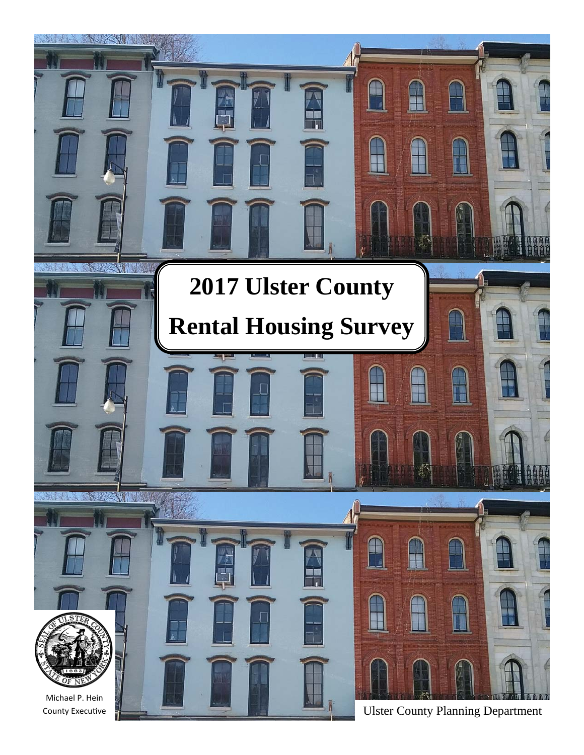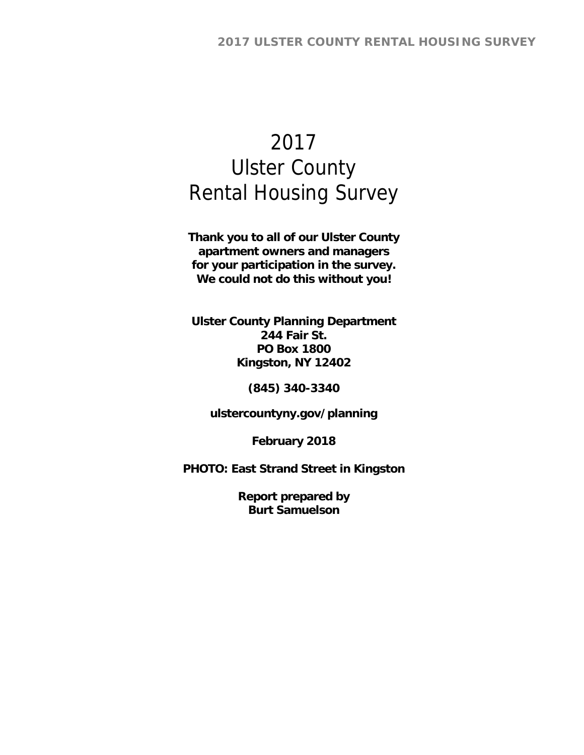# 2017 Ulster County Rental Housing Survey

**Thank you to all of our Ulster County apartment owners and managers for your participation in the survey. We could not do this without you!** 

**Ulster County Planning Department 244 Fair St. PO Box 1800 Kingston, NY 12402** 

**(845) 340-3340** 

**ulstercountyny.gov/planning** 

**February 2018** 

**PHOTO: East Strand Street in Kingston** 

**Report prepared by Burt Samuelson**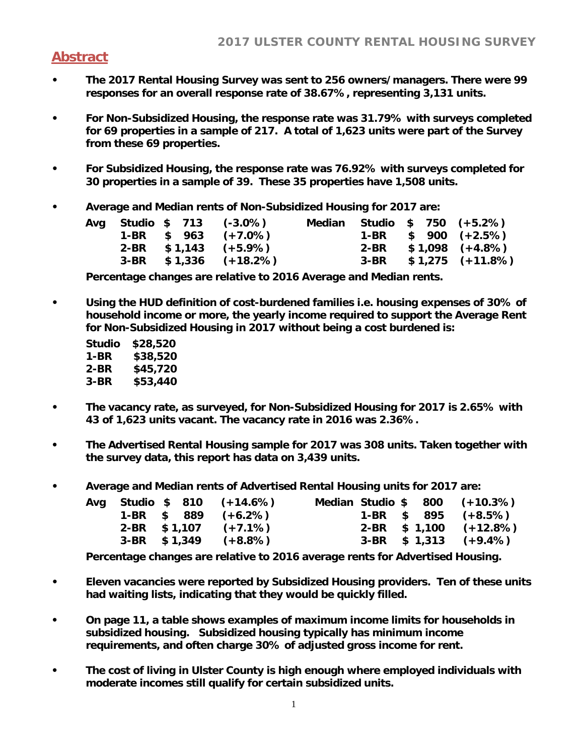# **Abstract**

- **The 2017 Rental Housing Survey was sent to 256 owners/managers. There were 99 responses for an overall response rate of 38.67%, representing 3,131 units.**
- **For Non-Subsidized Housing, the response rate was 31.79% with surveys completed for 69 properties in a sample of 217. A total of 1,623 units were part of the Survey from these 69 properties.**
- **For Subsidized Housing, the response rate was 76.92% with surveys completed for 30 properties in a sample of 39. These 35 properties have 1,508 units.**
- **Average and Median rents of Non-Subsidized Housing for 2017 are:**

|  |  | Avg Studio \$ 713 (-3.0%) | Median |  | Studio \$ 750 (+5.2%)   |
|--|--|---------------------------|--------|--|-------------------------|
|  |  | $1-BR$ \$ 963 $(+7.0\%)$  |        |  | 1-BR $$900 (+2.5%)$     |
|  |  | $2-BR$ \$1,143 (+5.9%)    |        |  | $2-BR$ \$1,098 (+4.8%)  |
|  |  | $3-BR$ \$1,336 (+18.2%)   |        |  | $3-BR$ \$1,275 (+11.8%) |

**Percentage changes are relative to 2016 Average and Median rents.** 

**• Using the HUD definition of cost-burdened families i.e. housing expenses of 30% of household income or more, the yearly income required to support the Average Rent for Non-Subsidized Housing in 2017 without being a cost burdened is:** 

| Studio | \$28,520 |
|--------|----------|
| 1-BR   | \$38,520 |
| 2-BR   | \$45,720 |
| 3-BR   | \$53,440 |

- **The vacancy rate, as surveyed, for Non-Subsidized Housing for 2017 is 2.65% with 43 of 1,623 units vacant. The vacancy rate in 2016 was 2.36%.**
- **The Advertised Rental Housing sample for 2017 was 308 units. Taken together with the survey data, this report has data on 3,439 units.**
- **Average and Median rents of Advertised Rental Housing units for 2017 are:**

|  |  | Avg Studio \$ 810 (+14.6%) |  |  | Median Studio \$ 800 (+10.3%) |
|--|--|----------------------------|--|--|-------------------------------|
|  |  | $1-BR$ \$ 889 $(+6.2\%)$   |  |  | 1-BR $$895 (+8.5%)$           |
|  |  | $2-BR$ \$1,107 (+7.1%)     |  |  | $2-BR$ \$ 1,100 $(+12.8\%)$   |
|  |  | $3-BR$ \$1,349 $(+8.8\%)$  |  |  | $3-BR$ \$ 1,313 (+9.4%)       |

**Percentage changes are relative to 2016 average rents for Advertised Housing.** 

- **Eleven vacancies were reported by Subsidized Housing providers. Ten of these units had waiting lists, indicating that they would be quickly filled.**
- **On page 11, a table shows examples of maximum income limits for households in subsidized housing. Subsidized housing typically has minimum income requirements, and often charge 30% of adjusted gross income for rent.**
- **The cost of living in Ulster County is high enough where employed individuals with moderate incomes still qualify for certain subsidized units.**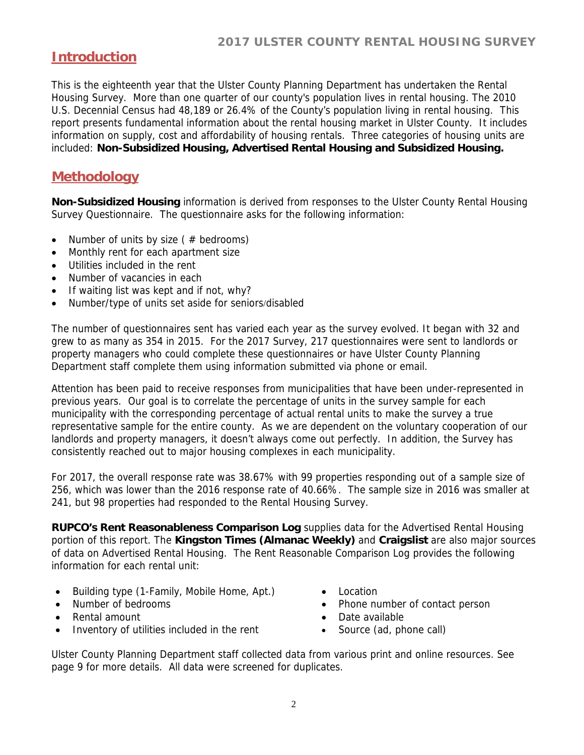# **Introduction**

This is the eighteenth year that the Ulster County Planning Department has undertaken the Rental Housing Survey. More than one quarter of our county's population lives in rental housing. The 2010 U.S. Decennial Census had 48,189 or 26.4% of the County's population living in rental housing. This report presents fundamental information about the rental housing market in Ulster County. It includes information on supply, cost and affordability of housing rentals. Three categories of housing units are included: **Non-Subsidized Housing, Advertised Rental Housing and Subsidized Housing.**

## **Methodology**

**Non-Subsidized Housing** information is derived from responses to the Ulster County Rental Housing Survey Questionnaire. The questionnaire asks for the following information:

- Number of units by size ( $#$  bedrooms)
- Monthly rent for each apartment size
- Utilities included in the rent
- Number of vacancies in each
- If waiting list was kept and if not, why?
- Number/type of units set aside for seniors/disabled

The number of questionnaires sent has varied each year as the survey evolved. It began with 32 and grew to as many as 354 in 2015. For the 2017 Survey, 217 questionnaires were sent to landlords or property managers who could complete these questionnaires or have Ulster County Planning Department staff complete them using information submitted via phone or email.

Attention has been paid to receive responses from municipalities that have been under-represented in previous years. Our goal is to correlate the percentage of units in the survey sample for each municipality with the corresponding percentage of actual rental units to make the survey a true representative sample for the entire county. As we are dependent on the voluntary cooperation of our landlords and property managers, it doesn't always come out perfectly. In addition, the Survey has consistently reached out to major housing complexes in each municipality.

For 2017, the overall response rate was 38.67% with 99 properties responding out of a sample size of 256, which was lower than the 2016 response rate of 40.66%. The sample size in 2016 was smaller at 241, but 98 properties had responded to the Rental Housing Survey.

**RUPCO's Rent Reasonableness Comparison Log** supplies data for the Advertised Rental Housing portion of this report. The **Kingston Times (Almanac Weekly)** and **Craigslist** are also major sources of data on Advertised Rental Housing. The Rent Reasonable Comparison Log provides the following information for each rental unit:

- Building type (1-Family, Mobile Home, Apt.)
- Number of bedrooms
- Rental amount
- Inventory of utilities included in the rent
- Location
- Phone number of contact person
- Date available
- Source (ad, phone call)

Ulster County Planning Department staff collected data from various print and online resources. See page 9 for more details. All data were screened for duplicates.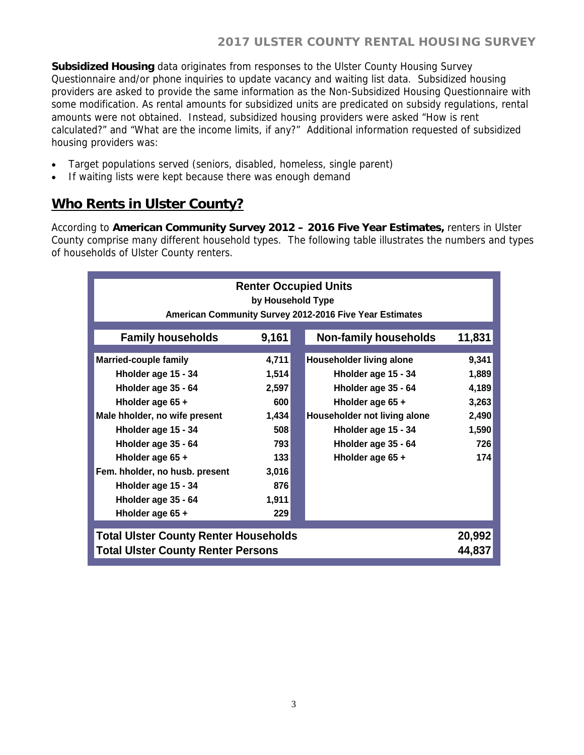**Subsidized Housing** data originates from responses to the Ulster County Housing Survey Questionnaire and/or phone inquiries to update vacancy and waiting list data. Subsidized housing providers are asked to provide the same information as the Non-Subsidized Housing Questionnaire with some modification. As rental amounts for subsidized units are predicated on subsidy regulations, rental amounts were not obtained. Instead, subsidized housing providers were asked "How is rent calculated?" and "What are the income limits, if any?" Additional information requested of subsidized housing providers was:

- Target populations served (seniors, disabled, homeless, single parent)
- If waiting lists were kept because there was enough demand

# **Who Rents in Ulster County?**

According to **American Community Survey 2012 – 2016 Five Year Estimates,** renters in Ulster County comprise many different household types. The following table illustrates the numbers and types of households of Ulster County renters.

|                                                                                                                                                        | <b>Renter Occupied Units</b><br>by Household Type<br>American Community Survey 2012-2016 Five Year Estimates |  |                                                                                                                                                   |                                                    |  |  |  |  |  |  |  |  |
|--------------------------------------------------------------------------------------------------------------------------------------------------------|--------------------------------------------------------------------------------------------------------------|--|---------------------------------------------------------------------------------------------------------------------------------------------------|----------------------------------------------------|--|--|--|--|--|--|--|--|
| <b>Family households</b>                                                                                                                               | 9,161                                                                                                        |  | <b>Non-family households</b>                                                                                                                      | 11,831                                             |  |  |  |  |  |  |  |  |
| <b>Married-couple family</b><br>Hholder age 15 - 34<br>Hholder age 35 - 64<br>Hholder age 65 +<br>Male hholder, no wife present<br>Hholder age 15 - 34 | 4,711<br>1,514<br>2,597<br>600<br>1,434<br>508                                                               |  | Householder living alone<br>Hholder age 15 - 34<br>Hholder age 35 - 64<br>Hholder age 65 +<br>Householder not living alone<br>Hholder age 15 - 34 | 9,341<br>1,889<br>4,189<br>3,263<br>2,490<br>1,590 |  |  |  |  |  |  |  |  |
| Hholder age 35 - 64<br>Hholder age 65 +<br>Fem. hholder, no husb. present<br>Hholder age 15 - 34<br>Hholder age 35 - 64<br>Hholder age 65 +            | 793<br>133<br>3,016<br>876<br>1,911<br>229                                                                   |  | Hholder age 35 - 64<br>Hholder age 65 +                                                                                                           | 726<br>174                                         |  |  |  |  |  |  |  |  |
| <b>Total Ulster County Renter Households</b><br><b>Total Ulster County Renter Persons</b>                                                              |                                                                                                              |  |                                                                                                                                                   | 20,992<br>44,837                                   |  |  |  |  |  |  |  |  |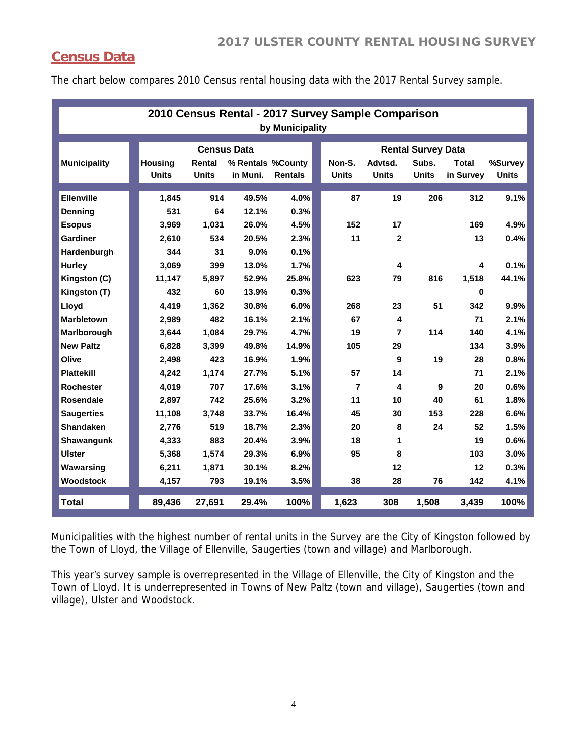# **Census Data**

The chart below compares 2010 Census rental housing data with the 2017 Rental Survey sample.

|                            | 2010 Census Rental - 2017 Survey Sample Comparison<br>by Municipality |              |                    |                   |                |  |                |                |                           |                         |              |  |  |
|----------------------------|-----------------------------------------------------------------------|--------------|--------------------|-------------------|----------------|--|----------------|----------------|---------------------------|-------------------------|--------------|--|--|
|                            |                                                                       |              | <b>Census Data</b> |                   |                |  |                |                | <b>Rental Survey Data</b> |                         |              |  |  |
| <b>Municipality</b>        | <b>Housing</b>                                                        |              | Rental             | % Rentals %County |                |  | Non-S.         | Advtsd.        | Subs.                     | <b>Total</b>            | %Survey      |  |  |
|                            |                                                                       | <b>Units</b> | <b>Units</b>       | in Muni.          | <b>Rentals</b> |  | <b>Units</b>   | <b>Units</b>   | <b>Units</b>              | in Survey               | <b>Units</b> |  |  |
| <b>Ellenville</b>          |                                                                       | 1,845        | 914                | 49.5%             | 4.0%           |  | 87             | 19             | 206                       | 312                     | 9.1%         |  |  |
| <b>Denning</b>             |                                                                       | 531          | 64                 | 12.1%             | 0.3%           |  |                |                |                           |                         |              |  |  |
| <b>Esopus</b>              |                                                                       | 3.969        | 1,031              | 26.0%             | 4.5%           |  | 152            | 17             |                           | 169                     | 4.9%         |  |  |
| Gardiner                   |                                                                       | 2,610        | 534                | 20.5%             | 2.3%           |  | 11             | $\mathbf{2}$   |                           | 13                      | 0.4%         |  |  |
| Hardenburgh                |                                                                       | 344          | 31                 | 9.0%              | 0.1%           |  |                |                |                           |                         |              |  |  |
| <b>Hurley</b>              |                                                                       | 3.069        | 399                | 13.0%             | 1.7%           |  |                | 4              |                           | $\overline{\mathbf{4}}$ | 0.1%         |  |  |
| Kingston (C)               |                                                                       | 11,147       | 5,897              | 52.9%             | 25.8%          |  | 623            | 79             | 816                       | 1,518                   | 44.1%        |  |  |
| Kingston (T)               |                                                                       | 432          | 60                 | 13.9%             | 0.3%           |  |                |                |                           | $\bf{0}$                |              |  |  |
|                            |                                                                       |              |                    |                   |                |  | 268            | 23             |                           | 342                     | 9.9%         |  |  |
| Lloyd<br><b>Marbletown</b> |                                                                       | 4.419        | 1,362<br>482       | 30.8%             | 6.0%           |  | 67             |                | 51                        | 71                      |              |  |  |
|                            |                                                                       | 2.989        |                    | 16.1%             | 2.1%           |  |                | 4              |                           |                         | 2.1%         |  |  |
| Marlborough                |                                                                       | 3.644        | 1,084              | 29.7%             | 4.7%           |  | 19             | $\overline{7}$ | 114                       | 140                     | 4.1%         |  |  |
| <b>New Paltz</b>           |                                                                       | 6.828        | 3.399              | 49.8%             | 14.9%          |  | 105            | 29             |                           | 134                     | 3.9%         |  |  |
| Olive                      |                                                                       | 2,498        | 423                | 16.9%             | 1.9%           |  |                | 9              | 19                        | 28                      | 0.8%         |  |  |
| <b>Plattekill</b>          |                                                                       | 4,242        | 1,174              | 27.7%             | 5.1%           |  | 57             | 14             |                           | 71                      | 2.1%         |  |  |
| <b>Rochester</b>           |                                                                       | 4,019        | 707                | 17.6%             | 3.1%           |  | $\overline{7}$ | 4              | 9                         | 20                      | 0.6%         |  |  |
| <b>Rosendale</b>           |                                                                       | 2,897        | 742                | 25.6%             | 3.2%           |  | 11             | 10             | 40                        | 61                      | 1.8%         |  |  |
| <b>Saugerties</b>          |                                                                       | 11,108       | 3,748              | 33.7%             | 16.4%          |  | 45             | 30             | 153                       | 228                     | 6.6%         |  |  |
| Shandaken                  |                                                                       | 2,776        | 519                | 18.7%             | 2.3%           |  | 20             | 8              | 24                        | 52                      | 1.5%         |  |  |
| Shawangunk                 |                                                                       | 4,333        | 883                | 20.4%             | 3.9%           |  | 18             | 1              |                           | 19                      | 0.6%         |  |  |
| <b>Ulster</b>              |                                                                       | 5,368        | 1,574              | 29.3%             | 6.9%           |  | 95             | 8              |                           | 103                     | 3.0%         |  |  |
| Wawarsing                  |                                                                       | 6,211        | 1,871              | 30.1%             | 8.2%           |  |                | 12             |                           | 12                      | 0.3%         |  |  |
| <b>Woodstock</b>           |                                                                       | 4,157        | 793                | 19.1%             | 3.5%           |  | 38             | 28             | 76                        | 142                     | 4.1%         |  |  |
| <b>Total</b>               |                                                                       | 89,436       | 27,691             | 29.4%             | 100%           |  | 1,623          | 308            | 1,508                     | 3,439                   | 100%         |  |  |

Municipalities with the highest number of rental units in the Survey are the City of Kingston followed by the Town of Lloyd, the Village of Ellenville, Saugerties (town and village) and Marlborough.

This year's survey sample is overrepresented in the Village of Ellenville, the City of Kingston and the Town of Lloyd. It is underrepresented in Towns of New Paltz (town and village), Saugerties (town and village), Ulster and Woodstock.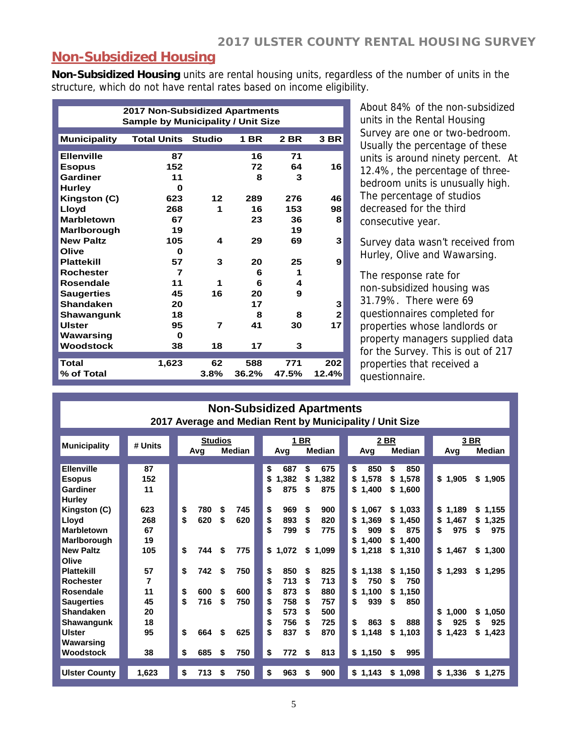#### **Non-Subsidized Housing**

**Non-Subsidized Housing** units are rental housing units, regardless of the number of units in the structure, which do not have rental rates based on income eligibility.

| <b>2017 Non-Subsidized Apartments</b> |               |            |                    |                                                                 |  |  |  |  |  |  |  |
|---------------------------------------|---------------|------------|--------------------|-----------------------------------------------------------------|--|--|--|--|--|--|--|
|                                       |               |            |                    |                                                                 |  |  |  |  |  |  |  |
| <b>Total Units</b>                    | <b>Studio</b> | 1 BR       | 2 BR               | 3 BR                                                            |  |  |  |  |  |  |  |
|                                       |               |            |                    |                                                                 |  |  |  |  |  |  |  |
|                                       |               |            |                    |                                                                 |  |  |  |  |  |  |  |
| 152                                   |               | 72         | 64                 | 16                                                              |  |  |  |  |  |  |  |
| 11                                    |               | 8          | 3                  |                                                                 |  |  |  |  |  |  |  |
| O                                     |               |            |                    |                                                                 |  |  |  |  |  |  |  |
| 623                                   | 12            | 289        | 276                | 46                                                              |  |  |  |  |  |  |  |
| 268                                   | 1             | 16         | 153                | 98                                                              |  |  |  |  |  |  |  |
| 67                                    |               | 23         | 36                 | 8                                                               |  |  |  |  |  |  |  |
| 19                                    |               |            | 19                 |                                                                 |  |  |  |  |  |  |  |
| 105                                   | 4             | 29         | 69                 | 3                                                               |  |  |  |  |  |  |  |
| O                                     |               |            |                    |                                                                 |  |  |  |  |  |  |  |
| 57                                    | 3             | 20         | 25                 | 9                                                               |  |  |  |  |  |  |  |
| $\overline{7}$                        |               | 6          | 1                  |                                                                 |  |  |  |  |  |  |  |
| 11                                    | 1             | 6          | 4                  |                                                                 |  |  |  |  |  |  |  |
| 45                                    | 16            | 20         | 9                  |                                                                 |  |  |  |  |  |  |  |
| 20                                    |               | 17         |                    | 3                                                               |  |  |  |  |  |  |  |
| 18                                    |               | 8          | 8                  | $\mathbf{2}$                                                    |  |  |  |  |  |  |  |
| 95                                    | 7             | 41         | 30                 | 17                                                              |  |  |  |  |  |  |  |
| U                                     |               |            |                    |                                                                 |  |  |  |  |  |  |  |
| 38                                    | 18            | 17         | 3                  |                                                                 |  |  |  |  |  |  |  |
|                                       |               |            |                    | 202                                                             |  |  |  |  |  |  |  |
|                                       |               |            |                    | 12.4%                                                           |  |  |  |  |  |  |  |
|                                       | 87<br>1,623   | 62<br>3.8% | 16<br>588<br>36.2% | <b>Sample by Municipality / Unit Size</b><br>71<br>771<br>47.5% |  |  |  |  |  |  |  |

About 84% of the non-subsidized units in the Rental Housing Survey are one or two-bedroom. Usually the percentage of these units is around ninety percent. At 12.4%, the percentage of threebedroom units is unusually high. The percentage of studios decreased for the third consecutive year.

Survey data wasn't received from Hurley, Olive and Wawarsing.

The response rate for non-subsidized housing was 31.79%. There were 69 questionnaires completed for properties whose landlords or property managers supplied data for the Survey. This is out of 217 properties that received a questionnaire.

| <b>Non-Subsidized Apartments</b>                         |
|----------------------------------------------------------|
| 2017 Average and Median Rent by Municipality / Unit Size |

| <b>Municipality</b>  | # Units |           | <b>Studios</b> |    |         | 1 BR          |       |             | 2 BR        |             | 3 BR        |
|----------------------|---------|-----------|----------------|----|---------|---------------|-------|-------------|-------------|-------------|-------------|
|                      |         | Avg       | Median         |    | Avg     | <b>Median</b> |       | Avg         | Median      | Avg         | Median      |
| <b>Ellenville</b>    | 87      |           |                | \$ | 687     | \$            | 675   | \$<br>850   | 850<br>\$   |             |             |
| <b>Esopus</b>        | 152     |           |                | \$ | 1,382   | \$            | 1,382 | 1,578<br>\$ | 1,578<br>s. | \$1,905     | \$<br>1,905 |
| Gardiner             | 11      |           |                | \$ | 875     | S             | 875   | \$<br>1,400 | s.<br>1,600 |             |             |
| Hurley               |         |           |                |    |         |               |       |             |             |             |             |
| Kingston (C)         | 623     | \$<br>780 | \$<br>745      | \$ | 969     | \$            | 900   | \$<br>1,067 | 1,033<br>\$ | \$1,189     | \$1,155     |
| Lloyd                | 268     | \$<br>620 | \$<br>620      | \$ | 893     | \$            | 820   | 1,369<br>\$ | 1,450<br>S  | \$<br>1,467 | 1,325<br>\$ |
| <b>Marbletown</b>    | 67      |           |                | \$ | 799     | \$            | 775   | 909<br>\$   | 875<br>S    | \$<br>975   | 975<br>\$   |
| Marlborough          | 19      |           |                |    |         |               |       | 1,400<br>\$ | 1,400<br>S. |             |             |
| <b>New Paltz</b>     | 105     | \$<br>744 | \$<br>775      |    | \$1,072 | \$            | 1,099 | 1,218<br>\$ | \$<br>1,310 | \$1,467     | \$<br>1,300 |
| Olive                |         |           |                |    |         |               |       |             |             |             |             |
| <b>Plattekill</b>    | 57      | \$<br>742 | \$<br>750      | \$ | 850     | \$            | 825   | \$<br>1,138 | \$<br>1,150 | \$1,293     | \$1,295     |
| <b>Rochester</b>     | 7       |           |                | \$ | 713     | \$            | 713   | 750<br>\$   | 750<br>S    |             |             |
| Rosendale            | 11      | \$<br>600 | \$<br>600      | \$ | 873     | \$            | 880   | \$<br>1,100 | \$<br>1,150 |             |             |
| <b>Saugerties</b>    | 45      | \$<br>716 | \$<br>750      | \$ | 758     | S             | 757   | 939<br>\$   | 850<br>S    |             |             |
| <b>Shandaken</b>     | 20      |           |                | \$ | 573     | \$            | 500   |             |             | \$<br>1,000 | 1.050<br>\$ |
| <b>Shawangunk</b>    | 18      |           |                | \$ | 756     | S             | 725   | \$<br>863   | 888<br>S    | \$<br>925   | \$<br>925   |
| Ulster               | 95      | \$<br>664 | \$<br>625      | \$ | 837     | \$            | 870   | \$<br>1,148 | \$<br>1,103 | \$<br>1,423 | \$<br>1,423 |
| Wawarsing            |         |           |                |    |         |               |       |             |             |             |             |
| <b>Woodstock</b>     | 38      | \$<br>685 | \$<br>750      | \$ | 772     | \$            | 813   | \$<br>1,150 | 995<br>\$   |             |             |
|                      |         |           |                |    |         |               |       |             |             |             |             |
| <b>Ulster County</b> | 1,623   | \$<br>713 | \$<br>750      | \$ | 963     | \$            | 900   | \$1,143     | \$1,098     | \$1,336     | \$1,275     |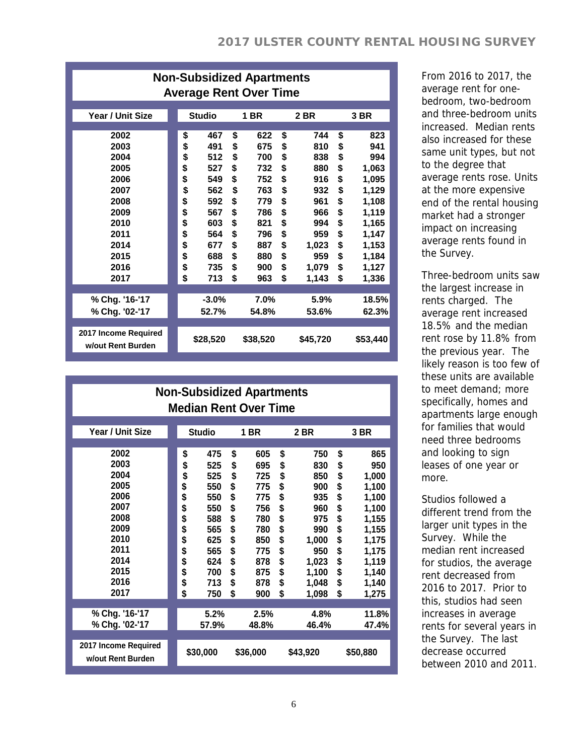|                                                                                                              | <b>Non-Subsidized Apartments</b><br><b>Average Rent Over Time</b>                |                                                                                                |                                                                                  |                                                                                                |                                                                                  |                                                                                                      |                                                                                  |                                                                                                                      |  |  |  |  |  |
|--------------------------------------------------------------------------------------------------------------|----------------------------------------------------------------------------------|------------------------------------------------------------------------------------------------|----------------------------------------------------------------------------------|------------------------------------------------------------------------------------------------|----------------------------------------------------------------------------------|------------------------------------------------------------------------------------------------------|----------------------------------------------------------------------------------|----------------------------------------------------------------------------------------------------------------------|--|--|--|--|--|
| <b>Year / Unit Size</b>                                                                                      |                                                                                  | <b>Studio</b>                                                                                  |                                                                                  | 1 BR                                                                                           |                                                                                  | 2 BR                                                                                                 |                                                                                  | 3 BR                                                                                                                 |  |  |  |  |  |
| 2002<br>2003<br>2004<br>2005<br>2006<br>2007<br>2008<br>2009<br>2010<br>2011<br>2014<br>2015<br>2016<br>2017 | \$<br>\$<br>\$<br>\$<br>\$<br>\$<br>\$<br>\$<br>\$<br>\$<br>\$<br>\$<br>\$<br>\$ | 467<br>491<br>512<br>527<br>549<br>562<br>592<br>567<br>603<br>564<br>677<br>688<br>735<br>713 | \$<br>\$<br>\$<br>\$<br>\$<br>\$<br>\$<br>\$<br>\$<br>\$<br>\$<br>\$<br>\$<br>\$ | 622<br>675<br>700<br>732<br>752<br>763<br>779<br>786<br>821<br>796<br>887<br>880<br>900<br>963 | \$<br>\$<br>\$<br>\$<br>\$<br>\$<br>\$<br>\$<br>\$<br>\$<br>\$<br>\$<br>\$<br>\$ | 744<br>810<br>838<br>880<br>916<br>932<br>961<br>966<br>994<br>959<br>1,023<br>959<br>1,079<br>1,143 | \$<br>\$<br>\$<br>\$<br>\$<br>\$<br>\$<br>\$<br>\$<br>\$<br>\$<br>\$<br>\$<br>\$ | 823<br>941<br>994<br>1,063<br>1,095<br>1,129<br>1,108<br>1,119<br>1,165<br>1,147<br>1,153<br>1,184<br>1,127<br>1,336 |  |  |  |  |  |
| % Chg. '16-'17<br>% Chg. '02-'17                                                                             |                                                                                  | $-3.0%$<br>52.7%                                                                               |                                                                                  | 7.0%<br>54.8%                                                                                  |                                                                                  | 5.9%<br>53.6%                                                                                        |                                                                                  | 18.5%<br>62.3%                                                                                                       |  |  |  |  |  |
| 2017 Income Required<br>w/out Rent Burden                                                                    |                                                                                  | \$28,520                                                                                       |                                                                                  | \$38,520                                                                                       |                                                                                  | \$45,720                                                                                             |                                                                                  | \$53,440                                                                                                             |  |  |  |  |  |

| From 2016 to 2017, the    |
|---------------------------|
| average rent for one-     |
| bedroom, two-bedroom      |
| and three-bedroom units   |
| increased. Median rents   |
| also increased for these  |
| same unit types, but not  |
| to the degree that        |
| average rents rose. Units |
| at the more expensive     |
| end of the rental housing |
| market had a stronger     |
| impact on increasing      |
| average rents found in    |
| the Survey.               |
|                           |

Three-bedroom units saw the largest increase in rents charged. The average rent increased 18.5% and the median rent rose by 11.8% from the previous year. The likely reason is too few of these units are available to meet demand; more specifically, homes and apartments large enough for families that would need three bedrooms and looking to sign leases of one year or more.

Studios followed a different trend from the larger unit types in the Survey. While the median rent increased for studios, the average rent decreased from 2016 to 2017. Prior to this, studios had seen increases in average rents for several years in the Survey. The last decrease occurred between 2010 and 2011.

|                                                                                                              |                                                                                  | <b>Non-Subsidized Apartments</b><br><b>Median Rent Over Time</b>                               |                                                                                  |                                                                                                |                                                                                  |                                                                                                          |                                                                            |                                                                                                                        |
|--------------------------------------------------------------------------------------------------------------|----------------------------------------------------------------------------------|------------------------------------------------------------------------------------------------|----------------------------------------------------------------------------------|------------------------------------------------------------------------------------------------|----------------------------------------------------------------------------------|----------------------------------------------------------------------------------------------------------|----------------------------------------------------------------------------|------------------------------------------------------------------------------------------------------------------------|
| Year / Unit Size                                                                                             |                                                                                  | <b>Studio</b>                                                                                  |                                                                                  | 1 BR                                                                                           |                                                                                  | 2 BR                                                                                                     |                                                                            | 3 BR                                                                                                                   |
| 2002<br>2003<br>2004<br>2005<br>2006<br>2007<br>2008<br>2009<br>2010<br>2011<br>2014<br>2015<br>2016<br>2017 | \$<br>\$<br>\$<br>\$<br>\$<br>\$<br>\$<br>\$<br>\$<br>\$<br>\$<br>\$<br>\$<br>\$ | 475<br>525<br>525<br>550<br>550<br>550<br>588<br>565<br>625<br>565<br>624<br>700<br>713<br>750 | \$<br>\$<br>\$<br>\$<br>\$<br>\$<br>\$<br>\$<br>\$<br>\$<br>\$<br>\$<br>\$<br>\$ | 605<br>695<br>725<br>775<br>775<br>756<br>780<br>780<br>850<br>775<br>878<br>875<br>878<br>900 | \$<br>\$<br>\$<br>\$<br>\$<br>\$<br>\$<br>\$<br>\$<br>\$<br>\$<br>\$<br>\$<br>\$ | 750<br>830<br>850<br>900<br>935<br>960<br>975<br>990<br>1,000<br>950<br>1,023<br>1,100<br>1,048<br>1,098 | \$<br>\$<br>\$<br>\$<br>\$<br>\$<br>\$<br>\$<br>\$<br>\$<br>\$<br>\$<br>\$ | 865<br>950<br>1,000<br>1,100<br>1,100<br>1,100<br>1,155<br>1,155<br>1,175<br>1,175<br>1,119<br>1,140<br>1,140<br>1,275 |
| % Chg. '16-'17<br>% Chg. '02-'17                                                                             |                                                                                  | 5.2%<br>57.9%                                                                                  |                                                                                  | 2.5%<br>48.8%                                                                                  |                                                                                  | 4.8%<br>46.4%                                                                                            |                                                                            | 11.8%<br>47.4%                                                                                                         |
| 2017 Income Required<br>w/out Rent Burden                                                                    |                                                                                  | \$30,000                                                                                       |                                                                                  | \$36,000                                                                                       |                                                                                  | \$43,920                                                                                                 |                                                                            | \$50,880                                                                                                               |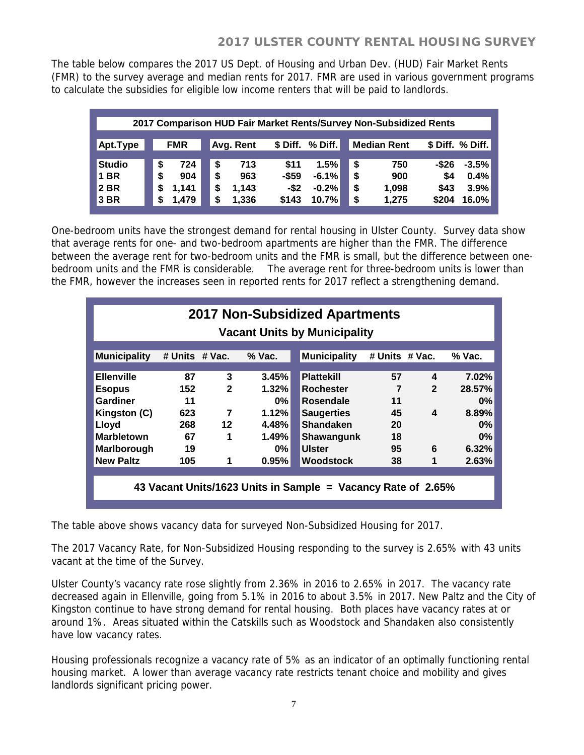The table below compares the 2017 US Dept. of Housing and Urban Dev. (HUD) Fair Market Rents (FMR) to the survey average and median rents for 2017. FMR are used in various government programs to calculate the subsidies for eligible low income renters that will be paid to landlords.

|               | 2017 Comparison HUD Fair Market Rents/Survey Non-Subsidized Rents |       |    |           |          |           |    |                    |       |                  |  |  |  |  |
|---------------|-------------------------------------------------------------------|-------|----|-----------|----------|-----------|----|--------------------|-------|------------------|--|--|--|--|
| Apt.Type      | <b>FMR</b>                                                        |       |    | Avg. Rent | \$ Diff. | $%$ Diff. |    | <b>Median Rent</b> |       | \$ Diff. % Diff. |  |  |  |  |
| <b>Studio</b> | \$                                                                | 724   | \$ | 713       | \$11     | 1.5%      | \$ | 750                | -\$26 | $-3.5%$          |  |  |  |  |
| <b>1 BR</b>   | \$                                                                | 904   | S  | 963       | $-$ \$59 | $-6.1%$   | \$ | 900                | \$4   | 0.4%             |  |  |  |  |
| <b>2 BR</b>   | \$                                                                | 1,141 | S  | 1.143     | $-$ \$2  | $-0.2%$   | \$ | 1.098              | \$43  | 3.9%             |  |  |  |  |
| 3 BR          | S                                                                 | 1,479 | \$ | 1,336     | \$143    | 10.7%     | \$ | 1,275              | \$204 | 16.0%            |  |  |  |  |

One-bedroom units have the strongest demand for rental housing in Ulster County. Survey data show that average rents for one- and two-bedroom apartments are higher than the FMR. The difference between the average rent for two-bedroom units and the FMR is small, but the difference between onebedroom units and the FMR is considerable. The average rent for three-bedroom units is lower than the FMR, however the increases seen in reported rents for 2017 reflect a strengthening demand.

| <b>2017 Non-Subsidized Apartments</b><br><b>Vacant Units by Municipality</b> |                |              |          |                     |                |              |          |  |  |
|------------------------------------------------------------------------------|----------------|--------------|----------|---------------------|----------------|--------------|----------|--|--|
| <b>Municipality</b>                                                          | # Units # Vac. |              | $%$ Vac. | <b>Municipality</b> | # Units # Vac. |              | $%$ Vac. |  |  |
| <b>Ellenville</b>                                                            | 87             | 3            | 3.45%    | <b>Plattekill</b>   | 57             | 4            | 7.02%    |  |  |
| <b>Esopus</b>                                                                | 152            | $\mathbf{2}$ | 1.32%    | <b>Rochester</b>    | 7              | $\mathbf{2}$ | 28.57%   |  |  |
| Gardiner                                                                     | 11             |              | 0%       | <b>Rosendale</b>    | 11             |              | $0\%$    |  |  |
| Kingston (C)                                                                 | 623            | 7            | 1.12%    | <b>Saugerties</b>   | 45             | 4            | 8.89%    |  |  |
| Lloyd                                                                        | 268            | $12 \,$      | 4.48%    | <b>Shandaken</b>    | 20             |              | $0\%$    |  |  |
| <b>Marbletown</b>                                                            | 67             | 1            | 1.49%    | Shawangunk          | 18             |              | $0\%$    |  |  |
| Marlborough                                                                  | 19             |              | $0\%$    | <b>Ulster</b>       | 95             | 6            | 6.32%    |  |  |
| <b>New Paltz</b>                                                             | 105            | 1            | 0.95%    | <b>Woodstock</b>    | 38             | 1            | 2.63%    |  |  |
| 43 Vacant Units/1623 Units in Sample = Vacancy Rate of 2.65%                 |                |              |          |                     |                |              |          |  |  |

The table above shows vacancy data for surveyed Non-Subsidized Housing for 2017.

The 2017 Vacancy Rate, for Non-Subsidized Housing responding to the survey is 2.65% with 43 units vacant at the time of the Survey.

Ulster County's vacancy rate rose slightly from 2.36% in 2016 to 2.65% in 2017. The vacancy rate decreased again in Ellenville, going from 5.1% in 2016 to about 3.5% in 2017. New Paltz and the City of Kingston continue to have strong demand for rental housing. Both places have vacancy rates at or around 1%. Areas situated within the Catskills such as Woodstock and Shandaken also consistently have low vacancy rates.

Housing professionals recognize a vacancy rate of 5% as an indicator of an optimally functioning rental housing market. A lower than average vacancy rate restricts tenant choice and mobility and gives landlords significant pricing power.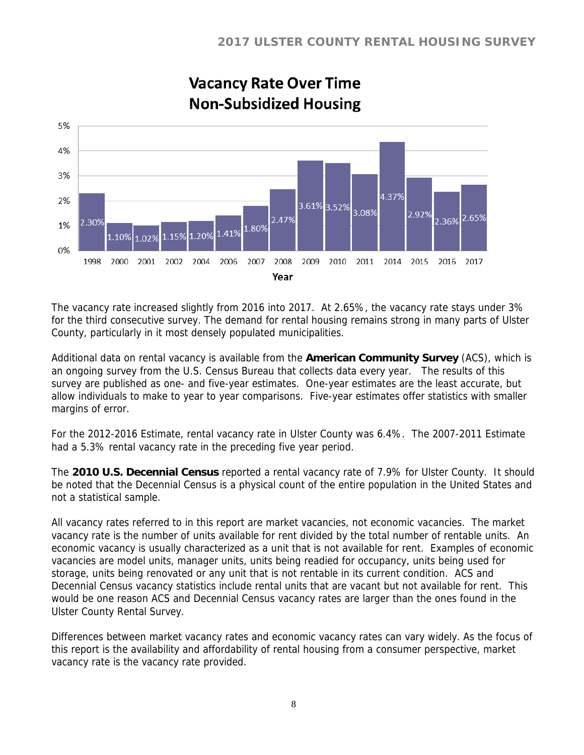

# **Vacancy Rate Over Time Non-Subsidized Housing**

The vacancy rate increased slightly from 2016 into 2017. At 2.65%, the vacancy rate stays under 3% for the third consecutive survey. The demand for rental housing remains strong in many parts of Ulster County, particularly in it most densely populated municipalities.

Additional data on rental vacancy is available from the **American Community Survey** (ACS), which is an ongoing survey from the U.S. Census Bureau that collects data every year. The results of this survey are published as one- and five-year estimates. One-year estimates are the least accurate, but allow individuals to make to year to year comparisons. Five-year estimates offer statistics with smaller margins of error.

For the 2012-2016 Estimate, rental vacancy rate in Ulster County was 6.4%. The 2007-2011 Estimate had a 5.3% rental vacancy rate in the preceding five year period.

The **2010 U.S. Decennial Census** reported a rental vacancy rate of 7.9% for Ulster County. It should be noted that the Decennial Census is a physical count of the entire population in the United States and not a statistical sample.

All vacancy rates referred to in this report are market vacancies, not economic vacancies. The market vacancy rate is the number of units available for rent divided by the total number of rentable units. An economic vacancy is usually characterized as a unit that is not available for rent. Examples of economic vacancies are model units, manager units, units being readied for occupancy, units being used for storage, units being renovated or any unit that is not rentable in its current condition. ACS and Decennial Census vacancy statistics include rental units that are vacant but not available for rent. This would be one reason ACS and Decennial Census vacancy rates are larger than the ones found in the Ulster County Rental Survey.

Differences between market vacancy rates and economic vacancy rates can vary widely. As the focus of this report is the availability and affordability of rental housing from a consumer perspective, market vacancy rate is the vacancy rate provided.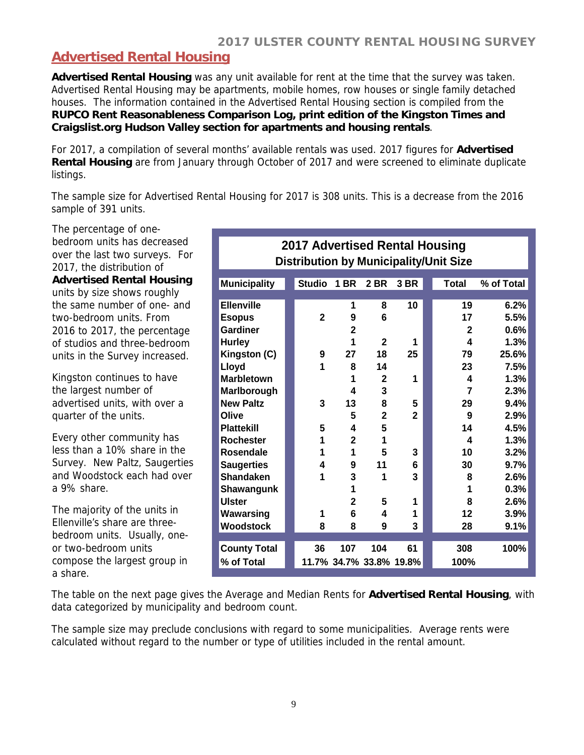# **Advertised Rental Housing**

**Advertised Rental Housing** was any unit available for rent at the time that the survey was taken. Advertised Rental Housing may be apartments, mobile homes, row houses or single family detached houses. The information contained in the Advertised Rental Housing section is compiled from the **RUPCO Rent Reasonableness Comparison Log, print edition of the Kingston Times and Craigslist.org Hudson Valley section for apartments and housing rentals**.

For 2017, a compilation of several months' available rentals was used. 2017 figures for **Advertised Rental Housing** are from January through October of 2017 and were screened to eliminate duplicate listings.

The sample size for Advertised Rental Housing for 2017 is 308 units. This is a decrease from the 2016 sample of 391 units.

The percentage of onebedroom units has decreased over the last two surveys. For 2017, the distribution of **Advertised Rental Housing** units by size shows roughly the same number of one- and two-bedroom units. From 2016 to 2017, the percentage of studios and three-bedroom units in the Survey increased.

Kingston continues to have the largest number of advertised units, with over a quarter of the units.

Every other community has less than a 10% share in the Survey. New Paltz, Saugerties and Woodstock each had over a 9% share.

The majority of the units in Ellenville's share are threebedroom units. Usually, oneor two-bedroom units compose the largest group in a share.

| 2017 Advertised Rental Housing<br><b>Distribution by Municipality/Unit Size</b> |  |               |                |                         |              |  |                |            |  |  |
|---------------------------------------------------------------------------------|--|---------------|----------------|-------------------------|--------------|--|----------------|------------|--|--|
| <b>Municipality</b>                                                             |  | <b>Studio</b> | <b>1 BR</b>    | <b>2 BR</b>             | 3 BR         |  | Total          | % of Total |  |  |
| <b>Ellenville</b>                                                               |  |               | 1              | 8                       | 10           |  | 19             | 6.2%       |  |  |
| <b>Esopus</b>                                                                   |  | $\mathbf{2}$  | 9              | 6                       |              |  | 17             | 5.5%       |  |  |
| <b>Gardiner</b>                                                                 |  |               | $\overline{2}$ |                         |              |  | $\mathbf{2}$   | 0.6%       |  |  |
| <b>Hurley</b>                                                                   |  |               | 1              | $\overline{2}$          | 1            |  | 4              | 1.3%       |  |  |
| Kingston (C)                                                                    |  | 9             | 27             | 18                      | 25           |  | 79             | 25.6%      |  |  |
| Lloyd                                                                           |  | 1             | 8              | 14                      |              |  | 23             | 7.5%       |  |  |
| <b>Marbletown</b>                                                               |  |               | 1              | $\mathbf{2}$            | 1            |  | 4              | 1.3%       |  |  |
| Marlborough                                                                     |  |               | 4              | 3                       |              |  | $\overline{7}$ | 2.3%       |  |  |
| <b>New Paltz</b>                                                                |  | 3             | 13             | 8                       | 5            |  | 29             | 9.4%       |  |  |
| Olive                                                                           |  |               | 5              | $\overline{2}$          | $\mathbf{2}$ |  | 9              | 2.9%       |  |  |
| <b>Plattekill</b>                                                               |  | 5             | 4              | 5                       |              |  | 14             | 4.5%       |  |  |
| <b>Rochester</b>                                                                |  | 1             | $\overline{2}$ | 1                       |              |  | 4              | 1.3%       |  |  |
| <b>Rosendale</b>                                                                |  | 1             | 1              | 5                       | 3            |  | 10             | 3.2%       |  |  |
| <b>Saugerties</b>                                                               |  | 4             | 9              | 11                      | 6            |  | 30             | 9.7%       |  |  |
| <b>Shandaken</b>                                                                |  | 1             | 3              | 1                       | 3            |  | 8              | 2.6%       |  |  |
| Shawangunk                                                                      |  |               | 1              |                         |              |  | 1              | 0.3%       |  |  |
| <b>Ulster</b>                                                                   |  |               | $\overline{2}$ | 5                       | 1            |  | 8              | 2.6%       |  |  |
| Wawarsing                                                                       |  | 1             | 6              | 4                       | 1            |  | 12             | 3.9%       |  |  |
| <b>Woodstock</b>                                                                |  | 8             | 8              | 9                       | 3            |  | 28             | 9.1%       |  |  |
|                                                                                 |  |               |                |                         |              |  |                |            |  |  |
| <b>County Total</b>                                                             |  | 36            | 107            | 104                     | 61           |  | 308            | 100%       |  |  |
| % of Total                                                                      |  |               |                | 11.7% 34.7% 33.8% 19.8% |              |  | 100%           |            |  |  |

The table on the next page gives the Average and Median Rents for **Advertised Rental Housing**, with data categorized by municipality and bedroom count.

The sample size may preclude conclusions with regard to some municipalities. Average rents were calculated without regard to the number or type of utilities included in the rental amount.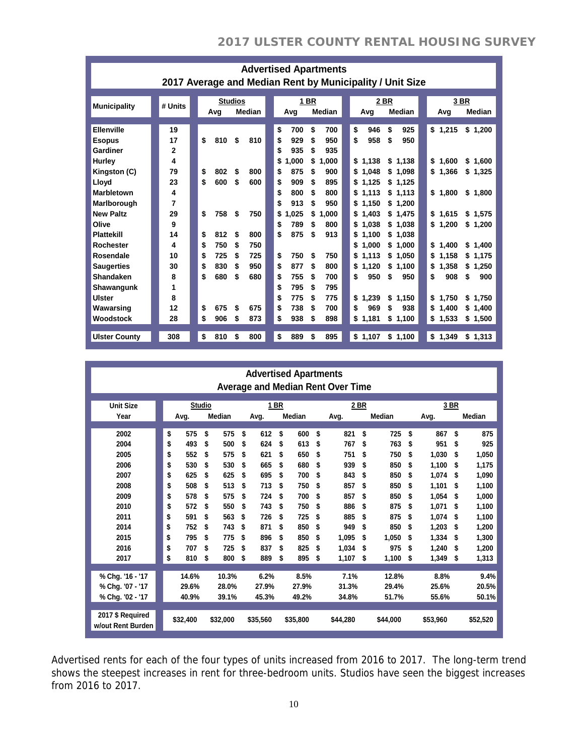| <b>Advertised Apartments</b><br>2017 Average and Median Rent by Municipality / Unit Size |                    |  |                      |                          |                    |                          |  |                      |                            |                      |                            |                                                         |                                           |                                                        |                                            |
|------------------------------------------------------------------------------------------|--------------------|--|----------------------|--------------------------|--------------------|--------------------------|--|----------------------|----------------------------|----------------------|----------------------------|---------------------------------------------------------|-------------------------------------------|--------------------------------------------------------|--------------------------------------------|
| <b>Municipality</b>                                                                      | # Units            |  |                      | <b>Studios</b><br>Avg    |                    | <b>Median</b>            |  |                      | Avg                        | <b>1 BR</b>          | Median                     | 2 BR<br>Avg                                             | Median                                    | Avg                                                    | 3 BR<br>Median                             |
| <b>Ellenville</b><br><b>Esopus</b><br>Gardiner<br>Hurley                                 | 19<br>17<br>2<br>4 |  | \$                   | 810                      | \$                 | 810                      |  | \$<br>\$<br>\$<br>\$ | 700<br>929<br>935<br>1.000 | \$<br>\$<br>\$<br>\$ | 700<br>950<br>935<br>1.000 | \$<br>946<br>\$<br>958<br>\$1,138                       | 925<br>\$<br>950<br>\$<br>\$1,138         | \$1,215<br>\$<br>1.600                                 | \$1,200<br>\$1,600                         |
| Kingston (C)<br>Lloyd<br><b>Marbletown</b>                                               | 79<br>23<br>4      |  | \$<br>\$             | 802<br>600               | \$<br>\$           | 800<br>600               |  | \$<br>\$<br>\$       | 875<br>909<br>800          | \$<br>S<br>S         | 900<br>895<br>800          | 1,048<br>\$<br>1.125<br>\$<br>1,113<br>\$               | \$1,098<br>\$1,125<br>\$1,113             | 1,366<br>\$<br>1,800<br>\$                             | \$1,325<br>\$1,800                         |
| Marlborough<br><b>New Paltz</b><br>Olive<br><b>Plattekill</b>                            | 7<br>29<br>9<br>14 |  | \$<br>\$             | 758<br>812               | \$<br>S            | 750<br>800               |  | \$<br>\$<br>\$<br>\$ | 913<br>1.025<br>789<br>875 | S<br>\$<br>S<br>S    | 950<br>1.000<br>800<br>913 | 1,150<br>\$<br>1.403<br>S<br>1,038<br>\$<br>1,100<br>\$ | \$1,200<br>\$1.475<br>\$1,038<br>\$1.038  | \$<br>1.615<br>\$<br>1,200                             | \$1,575<br>\$1,200                         |
| <b>Rochester</b><br>Rosendale<br><b>Saugerties</b><br><b>Shandaken</b>                   | 4<br>10<br>30<br>8 |  | \$<br>\$<br>\$<br>\$ | 750<br>725<br>830<br>680 | \$<br>S<br>\$<br>S | 750<br>725<br>950<br>680 |  | \$<br>\$<br>\$       | 750<br>877<br>755          | S<br>\$<br>S         | 750<br>800<br>700          | 1,000<br>S<br>1,113<br>\$<br>\$<br>1,120<br>950<br>\$   | \$1.000<br>\$1,050<br>\$1,100<br>950<br>S | \$<br>1.400<br>\$<br>1,158<br>\$<br>1,358<br>908<br>\$ | \$1,400<br>\$1,175<br>\$1,250<br>\$<br>900 |
| <b>Shawangunk</b><br><b>Ulster</b><br>Wawarsing<br>Woodstock                             | 1<br>8<br>12<br>28 |  | \$<br>\$             | 675<br>906               | \$<br>\$           | 675<br>873               |  | \$<br>\$<br>\$<br>\$ | 795<br>775<br>738<br>938   | \$<br>S<br>\$<br>S   | 795<br>775<br>700<br>898   | 1,239<br>\$<br>969<br>\$<br>\$<br>1,181                 | \$1,150<br>\$<br>938<br>\$1,100           | \$<br>1,750<br>1,400<br>\$<br>\$<br>1,533              | \$1,750<br>\$1,400<br>\$1,500              |
| <b>Ulster County</b>                                                                     | 308                |  | \$                   | 810                      | \$                 | 800                      |  | \$                   | 889                        | \$                   | 895                        | \$1,107                                                 | \$1,100                                   | \$<br>1,349                                            | \$1,313                                    |

| <b>Advertised Apartments</b><br><b>Average and Median Rent Over Time</b> |    |          |               |               |      |          |    |               |    |          |    |               |    |          |    |          |  |
|--------------------------------------------------------------------------|----|----------|---------------|---------------|------|----------|----|---------------|----|----------|----|---------------|----|----------|----|----------|--|
| <b>Unit Size</b>                                                         |    |          | <b>Studio</b> |               | 1 BR |          |    |               |    | 2 BR     |    |               |    | 3 BR     |    |          |  |
| Year                                                                     |    | Avg.     |               | <b>Median</b> |      | Avg.     |    | <b>Median</b> |    | Avg.     |    | <b>Median</b> |    | Avg.     |    | Median   |  |
|                                                                          |    |          |               |               |      |          |    |               |    |          |    |               |    |          |    |          |  |
| 2002                                                                     | \$ | 575      | \$            | 575           | \$   | 612      | \$ | 600           | \$ | 821      | \$ | 725           | \$ | 867      | \$ | 875      |  |
| 2004                                                                     | \$ | 493      | \$            | 500           | \$   | 624      | \$ | 613           | \$ | 767      | \$ | 763           | \$ | 951      | \$ | 925      |  |
| 2005                                                                     | \$ | 552      | \$            | 575           | \$   | 621      | \$ | 650           | S  | 751      | \$ | 750           | \$ | 1.030    | S  | 1.050    |  |
| 2006                                                                     | \$ | 530      | \$            | 530           | \$   | 665      | \$ | 680           | \$ | 939      | \$ | 850           | \$ | 1.100    | \$ | 1,175    |  |
| 2007                                                                     | \$ | 625      | \$            | 625           | \$   | 695      | \$ | 700           | \$ | 843      | \$ | 850           | S  | 1.074    | \$ | 1,090    |  |
| 2008                                                                     | \$ | 508      | \$            | 513           | \$   | 713      | \$ | 750           | \$ | 857      | \$ | 850           | \$ | 1.101    | \$ | 1,100    |  |
| 2009                                                                     | \$ | 578      | \$            | 575           | \$   | 724      | \$ | 700           | \$ | 857      | \$ | 850           | \$ | 1.054    | \$ | 1,000    |  |
| 2010                                                                     | \$ | 572      | \$            | 550           | \$   | 743      | \$ | 750           | \$ | 886      | \$ | 875           | S  | 1.071    | \$ | 1.100    |  |
| 2011                                                                     | \$ | 591      | \$            | 563           | \$   | 726      | \$ | 725           | \$ | 885      | \$ | 875           | \$ | 1.074    | \$ | 1,100    |  |
| 2014                                                                     | \$ | 752      | \$            | 743           | \$   | 871      | \$ | 850           | \$ | 949      | \$ | 850           | S  | 1,203    | S  | 1,200    |  |
| 2015                                                                     | \$ | 795      | \$            | 775           | \$   | 896      | \$ | 850           | \$ | 1,095    | \$ | 1.050         | \$ | 1.334    | \$ | 1,300    |  |
| 2016                                                                     | \$ | 707      | \$            | 725           | \$   | 837      | \$ | 825           | \$ | 1.034    | \$ | 975           | \$ | 1.240    | S  | 1.200    |  |
| 2017                                                                     | \$ | 810      | \$            | 800           | \$   | 889      | \$ | 895           | \$ | 1,107    | \$ | 1,100         | \$ | 1,349    | \$ | 1,313    |  |
| % Chg. '16 - '17                                                         |    | 14.6%    |               | 10.3%         |      | 6.2%     |    | 8.5%          |    | 7.1%     |    | 12.8%         |    | 8.8%     |    | 9.4%     |  |
| % Chg. '07 - '17                                                         |    | 29.6%    |               | 28.0%         |      | 27.9%    |    | 27.9%         |    | 31.3%    |    | 29.4%         |    | 25.6%    |    | 20.5%    |  |
|                                                                          |    |          |               |               |      |          |    |               |    |          |    |               |    |          |    |          |  |
| % Chg. '02 - '17                                                         |    | 40.9%    |               | 39.1%         |      | 45.3%    |    | 49.2%         |    | 34.8%    |    | 51.7%         |    | 55.6%    |    | 50.1%    |  |
| 2017 \$ Required<br>w/out Rent Burden                                    |    | \$32,400 |               | \$32,000      |      | \$35,560 |    | \$35,800      |    | \$44,280 |    | \$44,000      |    | \$53.960 |    | \$52,520 |  |

Advertised rents for each of the four types of units increased from 2016 to 2017. The long-term trend shows the steepest increases in rent for three-bedroom units. Studios have seen the biggest increases from 2016 to 2017.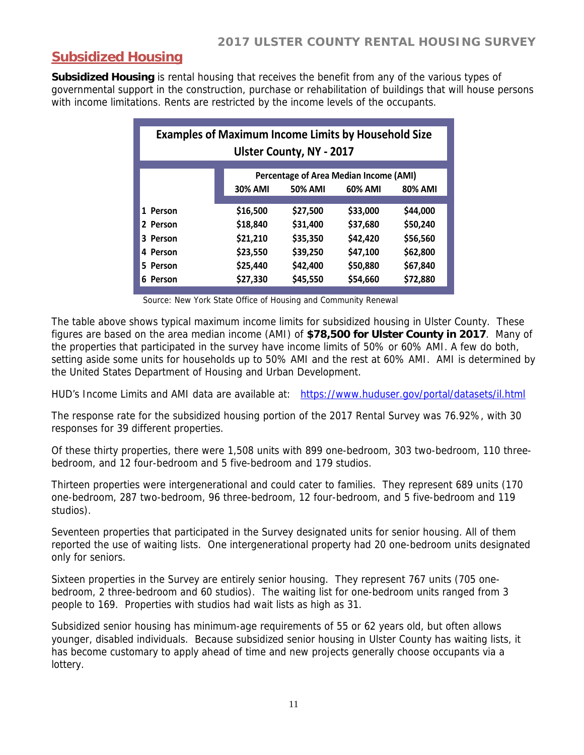#### **Subsidized Housing**

**Subsidized Housing** is rental housing that receives the benefit from any of the various types of governmental support in the construction, purchase or rehabilitation of buildings that will house persons with income limitations. Rents are restricted by the income levels of the occupants.

| <b>Examples of Maximum Income Limits by Household Size</b><br><b>Ulster County, NY - 2017</b> |                |                |          |                |  |  |  |  |  |
|-----------------------------------------------------------------------------------------------|----------------|----------------|----------|----------------|--|--|--|--|--|
| <b>Percentage of Area Median Income (AMI)</b>                                                 |                |                |          |                |  |  |  |  |  |
|                                                                                               | <b>30% AMI</b> | <b>50% AMI</b> | 60% AMI  | <b>80% AMI</b> |  |  |  |  |  |
|                                                                                               |                |                |          |                |  |  |  |  |  |
| 1 Person                                                                                      | \$16,500       | \$27,500       | \$33,000 | \$44,000       |  |  |  |  |  |
| 2 Person                                                                                      | \$18,840       | \$31,400       | \$37,680 | \$50,240       |  |  |  |  |  |
| 3 Person                                                                                      | \$21,210       | \$35,350       | \$42,420 | \$56,560       |  |  |  |  |  |
| 4 Person                                                                                      | \$23,550       | \$39,250       | \$47,100 | \$62,800       |  |  |  |  |  |
| 5 Person                                                                                      | \$25,440       | \$42,400       | \$50,880 | \$67,840       |  |  |  |  |  |
| 6 Person                                                                                      | \$27,330       | \$45,550       | \$54,660 | \$72,880       |  |  |  |  |  |

Source: New York State Office of Housing and Community Renewal

The table above shows typical maximum income limits for subsidized housing in Ulster County. These figures are based on the area median income (AMI) of **\$78,500 for Ulster County in 2017**. Many of the properties that participated in the survey have income limits of 50% or 60% AMI. A few do both, setting aside some units for households up to 50% AMI and the rest at 60% AMI. AMI is determined by the United States Department of Housing and Urban Development.

HUD's Income Limits and AMI data are available at: https://www.huduser.gov/portal/datasets/il.html

The response rate for the subsidized housing portion of the 2017 Rental Survey was 76.92%, with 30 responses for 39 different properties.

Of these thirty properties, there were 1,508 units with 899 one-bedroom, 303 two-bedroom, 110 threebedroom, and 12 four-bedroom and 5 five-bedroom and 179 studios.

Thirteen properties were intergenerational and could cater to families. They represent 689 units (170 one-bedroom, 287 two-bedroom, 96 three-bedroom, 12 four-bedroom, and 5 five-bedroom and 119 studios).

Seventeen properties that participated in the Survey designated units for senior housing. All of them reported the use of waiting lists. One intergenerational property had 20 one-bedroom units designated only for seniors.

Sixteen properties in the Survey are entirely senior housing. They represent 767 units (705 onebedroom, 2 three-bedroom and 60 studios). The waiting list for one-bedroom units ranged from 3 people to 169. Properties with studios had wait lists as high as 31.

Subsidized senior housing has minimum-age requirements of 55 or 62 years old, but often allows younger, disabled individuals. Because subsidized senior housing in Ulster County has waiting lists, it has become customary to apply ahead of time and new projects generally choose occupants via a lottery.